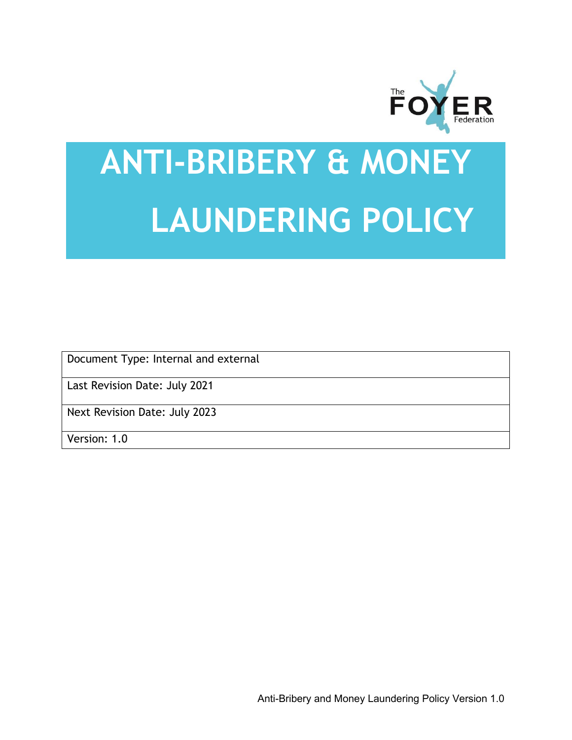

# **ANTI-BRIBERY & MONEY LAUNDERING POLICY**

Document Type: Internal and external

Last Revision Date: July 2021

Next Revision Date: July 2023

Version: 1.0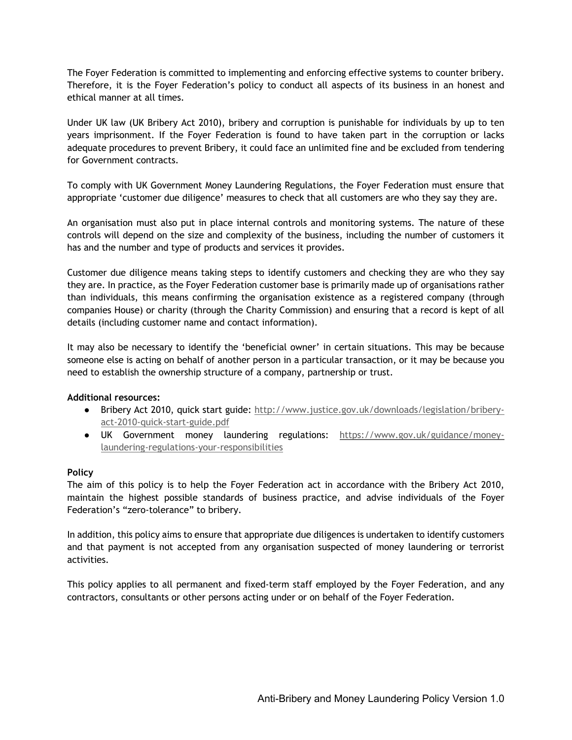The Foyer Federation is committed to implementing and enforcing effective systems to counter bribery. Therefore, it is the Foyer Federation's policy to conduct all aspects of its business in an honest and ethical manner at all times.

Under UK law (UK Bribery Act 2010), bribery and corruption is punishable for individuals by up to ten years imprisonment. If the Foyer Federation is found to have taken part in the corruption or lacks adequate procedures to prevent Bribery, it could face an unlimited fine and be excluded from tendering for Government contracts.

To comply with UK Government Money Laundering Regulations, the Foyer Federation must ensure that appropriate 'customer due diligence' measures to check that all customers are who they say they are.

An organisation must also put in place internal controls and monitoring systems. The nature of these controls will depend on the size and complexity of the business, including the number of customers it has and the number and type of products and services it provides.

Customer due diligence means taking steps to identify customers and checking they are who they say they are. In practice, as the Foyer Federation customer base is primarily made up of organisations rather than individuals, this means confirming the organisation existence as a registered company (through companies House) or charity (through the Charity Commission) and ensuring that a record is kept of all details (including customer name and contact information).

It may also be necessary to identify the 'beneficial owner' in certain situations. This may be because someone else is acting on behalf of another person in a particular transaction, or it may be because you need to establish the ownership structure of a company, partnership or trust.

# **Additional resources:**

- Bribery Act 2010, quick start guide: http://www.justice.gov.uk/downloads/legislation/briberyact-2010-quick-start-guide.pdf
- UK Government money laundering regulations: https://www.gov.uk/guidance/moneylaundering-regulations-your-responsibilities

# **Policy**

The aim of this policy is to help the Foyer Federation act in accordance with the Bribery Act 2010, maintain the highest possible standards of business practice, and advise individuals of the Foyer Federation's "zero-tolerance" to bribery.

In addition, this policy aims to ensure that appropriate due diligences is undertaken to identify customers and that payment is not accepted from any organisation suspected of money laundering or terrorist activities.

This policy applies to all permanent and fixed-term staff employed by the Foyer Federation, and any contractors, consultants or other persons acting under or on behalf of the Foyer Federation.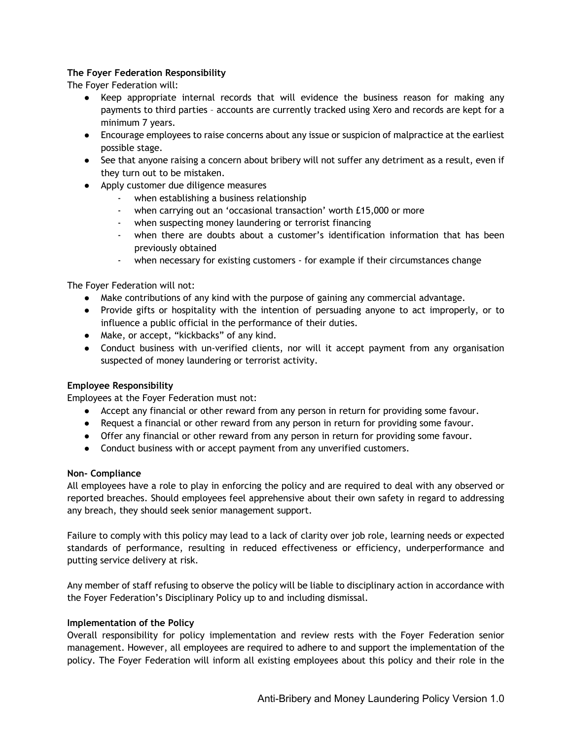# **The Foyer Federation Responsibility**

The Foyer Federation will:

- Keep appropriate internal records that will evidence the business reason for making any payments to third parties – accounts are currently tracked using Xero and records are kept for a minimum 7 years.
- Encourage employees to raise concerns about any issue or suspicion of malpractice at the earliest possible stage.
- See that anyone raising a concern about bribery will not suffer any detriment as a result, even if they turn out to be mistaken.
- Apply customer due diligence measures
	- when establishing a business relationship
	- when carrying out an 'occasional transaction' worth £15,000 or more
	- when suspecting money laundering or terrorist financing
	- when there are doubts about a customer's identification information that has been previously obtained
	- when necessary for existing customers for example if their circumstances change

The Foyer Federation will not:

- Make contributions of any kind with the purpose of gaining any commercial advantage.
- Provide gifts or hospitality with the intention of persuading anyone to act improperly, or to influence a public official in the performance of their duties.
- Make, or accept, "kickbacks" of any kind.
- Conduct business with un-verified clients, nor will it accept payment from any organisation suspected of money laundering or terrorist activity.

# **Employee Responsibility**

Employees at the Foyer Federation must not:

- Accept any financial or other reward from any person in return for providing some favour.
- Request a financial or other reward from any person in return for providing some favour.
- Offer any financial or other reward from any person in return for providing some favour.
- Conduct business with or accept payment from any unverified customers.

# **Non- Compliance**

All employees have a role to play in enforcing the policy and are required to deal with any observed or reported breaches. Should employees feel apprehensive about their own safety in regard to addressing any breach, they should seek senior management support.

Failure to comply with this policy may lead to a lack of clarity over job role, learning needs or expected standards of performance, resulting in reduced effectiveness or efficiency, underperformance and putting service delivery at risk.

Any member of staff refusing to observe the policy will be liable to disciplinary action in accordance with the Foyer Federation's Disciplinary Policy up to and including dismissal.

# **Implementation of the Policy**

Overall responsibility for policy implementation and review rests with the Foyer Federation senior management. However, all employees are required to adhere to and support the implementation of the policy. The Foyer Federation will inform all existing employees about this policy and their role in the